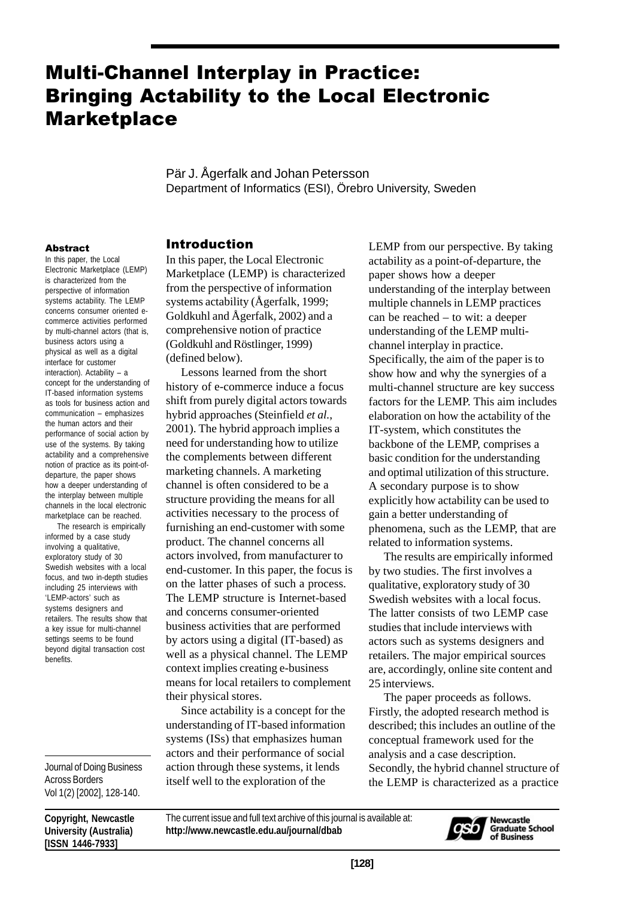# **Multi-Channel Interplay in Practice: Bringing Actability to the Local Electronic Marketplace**

Pär J. Ågerfalk and Johan Petersson Department of Informatics (ESI), Örebro University, Sweden

#### **Abstract**

In this paper, the Local Electronic Marketplace (LEMP) is characterized from the perspective of information systems actability. The LEMP concerns consumer oriented ecommerce activities performed by multi-channel actors (that is, business actors using a physical as well as a digital interface for customer interaction). Actability – a concept for the understanding of IT-based information systems as tools for business action and communication – emphasizes the human actors and their performance of social action by use of the systems. By taking actability and a comprehensive notion of practice as its point-ofdeparture, the paper shows how a deeper understanding of the interplay between multiple channels in the local electronic marketplace can be reached.

 The research is empirically informed by a case study involving a qualitative, exploratory study of 30 Swedish websites with a local focus, and two in-depth studies including 25 interviews with 'LEMP-actors' such as systems designers and retailers. The results show that a key issue for multi-channel settings seems to be found beyond digital transaction cost benefits.

Journal of Doing Business Across Borders Vol 1(2) [2002], 128-140.

**Copyright, Newcastle University (Australia) [ISSN 1446-7933]**

#### **Introduction**

In this paper, the Local Electronic Marketplace (LEMP) is characterized from the perspective of information systems actability (Ågerfalk, 1999; Goldkuhl and Ågerfalk, 2002) and a comprehensive notion of practice (Goldkuhl and Röstlinger, 1999) (defined below).

Lessons learned from the short history of e-commerce induce a focus shift from purely digital actors towards hybrid approaches (Steinfield *et al.*, 2001). The hybrid approach implies a need for understanding how to utilize the complements between different marketing channels. A marketing channel is often considered to be a structure providing the means for all activities necessary to the process of furnishing an end-customer with some product. The channel concerns all actors involved, from manufacturer to end-customer. In this paper, the focus is on the latter phases of such a process. The LEMP structure is Internet-based and concerns consumer-oriented business activities that are performed by actors using a digital (IT-based) as well as a physical channel. The LEMP context implies creating e-business means for local retailers to complement their physical stores.

Since actability is a concept for the understanding of IT-based information systems (ISs) that emphasizes human actors and their performance of social action through these systems, it lends itself well to the exploration of the

LEMP from our perspective. By taking actability as a point-of-departure, the paper shows how a deeper understanding of the interplay between multiple channels in LEMP practices can be reached – to wit: a deeper understanding of the LEMP multichannel interplay in practice. Specifically, the aim of the paper is to show how and why the synergies of a multi-channel structure are key success factors for the LEMP. This aim includes elaboration on how the actability of the IT-system, which constitutes the backbone of the LEMP, comprises a basic condition for the understanding and optimal utilization of this structure. A secondary purpose is to show explicitly how actability can be used to gain a better understanding of phenomena, such as the LEMP, that are related to information systems.

The results are empirically informed by two studies. The first involves a qualitative, exploratory study of 30 Swedish websites with a local focus. The latter consists of two LEMP case studies that include interviews with actors such as systems designers and retailers. The major empirical sources are, accordingly, online site content and 25 interviews.

The paper proceeds as follows. Firstly, the adopted research method is described; this includes an outline of the conceptual framework used for the analysis and a case description. Secondly, the hybrid channel structure of the LEMP is characterized as a practice

The current issue and full text archive of this journal is available at: **http://www.newcastle.edu.au/journal/dbab**

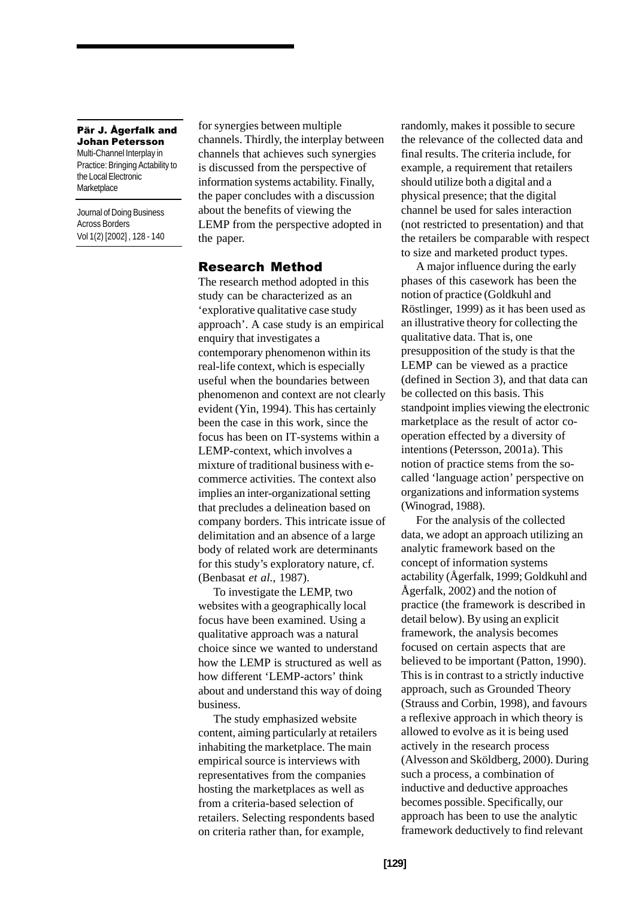Pär J. Ågerfalk and Johan Petersson Multi-Channel Interplay in Practice: Bringing Actability to the Local Electronic **Marketplace** 

Journal of Doing Business Across Borders Vol 1(2) [2002] , 128 - 140 for synergies between multiple channels. Thirdly, the interplay between channels that achieves such synergies is discussed from the perspective of information systems actability. Finally, the paper concludes with a discussion about the benefits of viewing the LEMP from the perspective adopted in the paper.

#### **Research Method**

The research method adopted in this study can be characterized as an 'explorative qualitative case study approach'. A case study is an empirical enquiry that investigates a contemporary phenomenon within its real-life context, which is especially useful when the boundaries between phenomenon and context are not clearly evident (Yin, 1994). This has certainly been the case in this work, since the focus has been on IT-systems within a LEMP-context, which involves a mixture of traditional business with ecommerce activities. The context also implies an inter-organizational setting that precludes a delineation based on company borders. This intricate issue of delimitation and an absence of a large body of related work are determinants for this study's exploratory nature, cf. (Benbasat *et al.*, 1987).

To investigate the LEMP, two websites with a geographically local focus have been examined. Using a qualitative approach was a natural choice since we wanted to understand how the LEMP is structured as well as how different 'LEMP-actors' think about and understand this way of doing business.

The study emphasized website content, aiming particularly at retailers inhabiting the marketplace. The main empirical source is interviews with representatives from the companies hosting the marketplaces as well as from a criteria-based selection of retailers. Selecting respondents based on criteria rather than, for example,

randomly, makes it possible to secure the relevance of the collected data and final results. The criteria include, for example, a requirement that retailers should utilize both a digital and a physical presence; that the digital channel be used for sales interaction (not restricted to presentation) and that the retailers be comparable with respect to size and marketed product types.

A major influence during the early phases of this casework has been the notion of practice (Goldkuhl and Röstlinger, 1999) as it has been used as an illustrative theory for collecting the qualitative data. That is, one presupposition of the study is that the LEMP can be viewed as a practice (defined in Section 3), and that data can be collected on this basis. This standpoint implies viewing the electronic marketplace as the result of actor cooperation effected by a diversity of intentions (Petersson, 2001a). This notion of practice stems from the socalled 'language action' perspective on organizations and information systems (Winograd, 1988).

For the analysis of the collected data, we adopt an approach utilizing an analytic framework based on the concept of information systems actability (Ågerfalk, 1999; Goldkuhl and Ågerfalk, 2002) and the notion of practice (the framework is described in detail below). By using an explicit framework, the analysis becomes focused on certain aspects that are believed to be important (Patton, 1990). This is in contrast to a strictly inductive approach, such as Grounded Theory (Strauss and Corbin, 1998), and favours a reflexive approach in which theory is allowed to evolve as it is being used actively in the research process (Alvesson and Sköldberg, 2000). During such a process, a combination of inductive and deductive approaches becomes possible. Specifically, our approach has been to use the analytic framework deductively to find relevant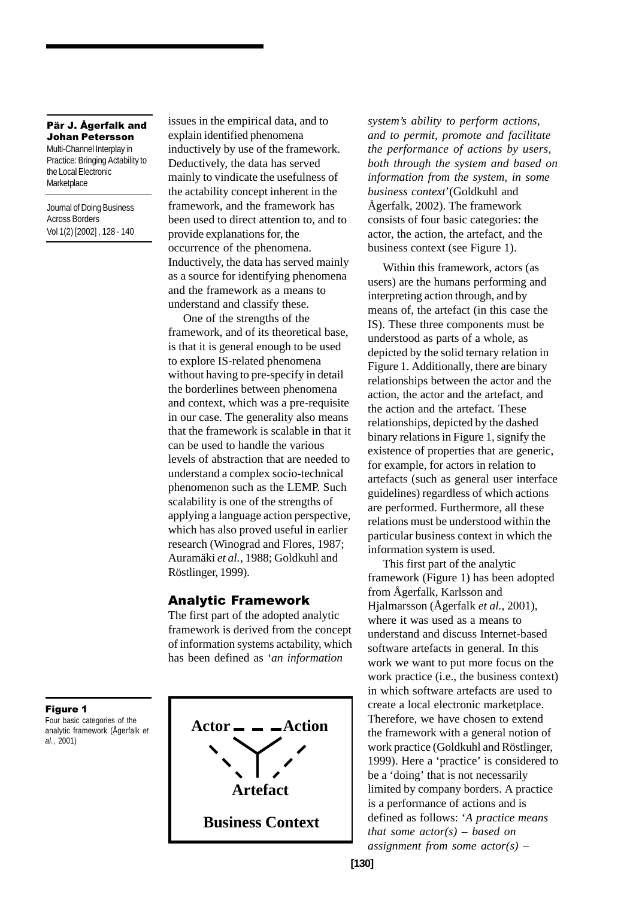Multi-Channel Interplay in Practice: Bringing Actability to the Local Electronic **Marketplace** 

Journal of Doing Business Across Borders Vol 1(2) [2002] , 128 - 140 issues in the empirical data, and to explain identified phenomena inductively by use of the framework. Deductively, the data has served mainly to vindicate the usefulness of the actability concept inherent in the framework, and the framework has been used to direct attention to, and to provide explanations for, the occurrence of the phenomena. Inductively, the data has served mainly as a source for identifying phenomena and the framework as a means to understand and classify these.

One of the strengths of the framework, and of its theoretical base, is that it is general enough to be used to explore IS-related phenomena without having to pre-specify in detail the borderlines between phenomena and context, which was a pre-requisite in our case. The generality also means that the framework is scalable in that it can be used to handle the various levels of abstraction that are needed to understand a complex socio-technical phenomenon such as the LEMP. Such scalability is one of the strengths of applying a language action perspective, which has also proved useful in earlier research (Winograd and Flores, 1987; Auramäki *et al.*, 1988; Goldkuhl and Röstlinger, 1999).

#### Analytic Framework

The first part of the adopted analytic framework is derived from the concept of information systems actability, which has been defined as '*an information*



*system's ability to perform actions, and to permit, promote and facilitate the performance of actions by users, both through the system and based on information from the system, in some business context*'(Goldkuhl and Ågerfalk, 2002). The framework consists of four basic categories: the actor, the action, the artefact, and the business context (see Figure 1).

Within this framework, actors (as users) are the humans performing and interpreting action through, and by means of, the artefact (in this case the IS). These three components must be understood as parts of a whole, as depicted by the solid ternary relation in Figure 1. Additionally, there are binary relationships between the actor and the action, the actor and the artefact, and the action and the artefact. These relationships, depicted by the dashed binary relations in Figure 1, signify the existence of properties that are generic, for example, for actors in relation to artefacts (such as general user interface guidelines) regardless of which actions are performed. Furthermore, all these relations must be understood within the particular business context in which the information system is used.

This first part of the analytic framework (Figure 1) has been adopted from Ågerfalk, Karlsson and Hjalmarsson (Ågerfalk *et al.*, 2001), where it was used as a means to understand and discuss Internet-based software artefacts in general. In this work we want to put more focus on the work practice (i.e., the business context) in which software artefacts are used to create a local electronic marketplace. Therefore, we have chosen to extend the framework with a general notion of work practice (Goldkuhl and Röstlinger, 1999). Here a 'practice' is considered to be a 'doing' that is not necessarily limited by company borders. A practice is a performance of actions and is defined as follows: '*A practice means that some actor(s) – based on assignment from some actor(s) –*

Figure 1

Four basic categories of the analytic framework (Ågerfalk *et al.*, 2001)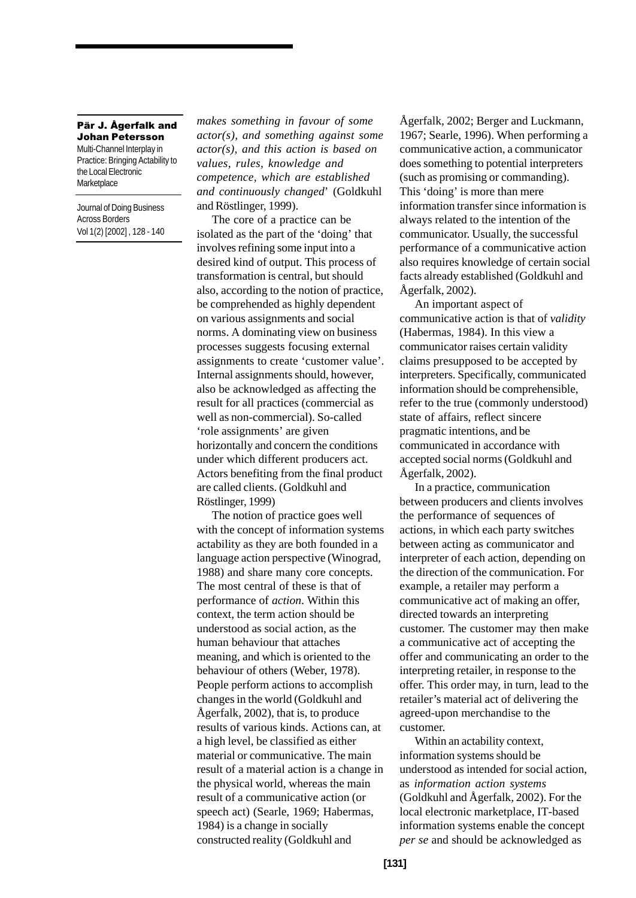Multi-Channel Interplay in Practice: Bringing Actability to the Local Electronic **Marketplace** 

Journal of Doing Business Across Borders Vol 1(2) [2002] , 128 - 140 *makes something in favour of some actor(s), and something against some actor(s), and this action is based on values, rules, knowledge and competence, which are established and continuously changed*' (Goldkuhl and Röstlinger, 1999).

The core of a practice can be isolated as the part of the 'doing' that involves refining some input into a desired kind of output. This process of transformation is central, but should also, according to the notion of practice, be comprehended as highly dependent on various assignments and social norms. A dominating view on business processes suggests focusing external assignments to create 'customer value'. Internal assignments should, however, also be acknowledged as affecting the result for all practices (commercial as well as non-commercial). So-called 'role assignments' are given horizontally and concern the conditions under which different producers act. Actors benefiting from the final product are called clients. (Goldkuhl and Röstlinger, 1999)

The notion of practice goes well with the concept of information systems actability as they are both founded in a language action perspective (Winograd, 1988) and share many core concepts. The most central of these is that of performance of *action*. Within this context, the term action should be understood as social action, as the human behaviour that attaches meaning, and which is oriented to the behaviour of others (Weber, 1978). People perform actions to accomplish changes in the world (Goldkuhl and Ågerfalk, 2002), that is, to produce results of various kinds. Actions can, at a high level, be classified as either material or communicative. The main result of a material action is a change in the physical world, whereas the main result of a communicative action (or speech act) (Searle, 1969; Habermas, 1984) is a change in socially constructed reality (Goldkuhl and

Ågerfalk, 2002; Berger and Luckmann, 1967; Searle, 1996). When performing a communicative action, a communicator does something to potential interpreters (such as promising or commanding). This 'doing' is more than mere information transfer since information is always related to the intention of the communicator. Usually, the successful performance of a communicative action also requires knowledge of certain social facts already established (Goldkuhl and Ågerfalk, 2002).

An important aspect of communicative action is that of *validity* (Habermas, 1984). In this view a communicator raises certain validity claims presupposed to be accepted by interpreters. Specifically, communicated information should be comprehensible, refer to the true (commonly understood) state of affairs, reflect sincere pragmatic intentions, and be communicated in accordance with accepted social norms (Goldkuhl and Ågerfalk, 2002).

In a practice, communication between producers and clients involves the performance of sequences of actions, in which each party switches between acting as communicator and interpreter of each action, depending on the direction of the communication. For example, a retailer may perform a communicative act of making an offer, directed towards an interpreting customer. The customer may then make a communicative act of accepting the offer and communicating an order to the interpreting retailer, in response to the offer. This order may, in turn, lead to the retailer's material act of delivering the agreed-upon merchandise to the customer.

Within an actability context, information systems should be understood as intended for social action, as *information action systems* (Goldkuhl and Ågerfalk, 2002). For the local electronic marketplace, IT-based information systems enable the concept *per se* and should be acknowledged as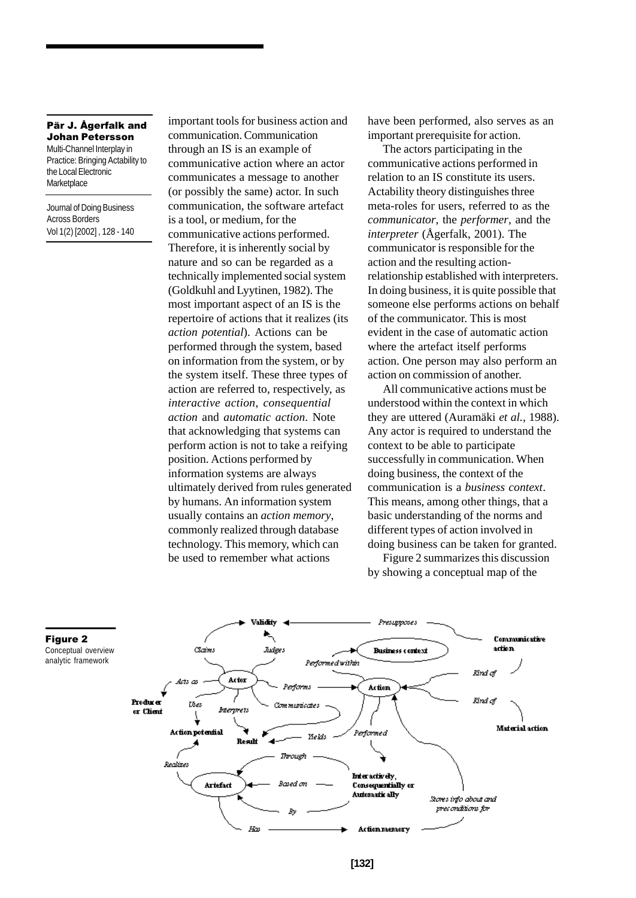Multi-Channel Interplay in Practice: Bringing Actability to the Local Electronic **Marketplace** 

Journal of Doing Business Across Borders Vol 1(2) [2002] , 128 - 140 important tools for business action and communication. Communication through an IS is an example of communicative action where an actor communicates a message to another (or possibly the same) actor. In such communication, the software artefact is a tool, or medium, for the communicative actions performed. Therefore, it is inherently social by nature and so can be regarded as a technically implemented social system (Goldkuhl and Lyytinen, 1982). The most important aspect of an IS is the repertoire of actions that it realizes (its *action potential*). Actions can be performed through the system, based on information from the system, or by the system itself. These three types of action are referred to, respectively, as *interactive action*, *consequential action* and *automatic action*. Note that acknowledging that systems can perform action is not to take a reifying position. Actions performed by information systems are always ultimately derived from rules generated by humans. An information system usually contains an *action memory*, commonly realized through database technology. This memory, which can be used to remember what actions

have been performed, also serves as an important prerequisite for action.

The actors participating in the communicative actions performed in relation to an IS constitute its users. Actability theory distinguishes three meta-roles for users, referred to as the *communicator*, the *performer*, and the *interpreter* (Ågerfalk, 2001). The communicator is responsible for the action and the resulting actionrelationship established with interpreters. In doing business, it is quite possible that someone else performs actions on behalf of the communicator. This is most evident in the case of automatic action where the artefact itself performs action. One person may also perform an action on commission of another.

All communicative actions must be understood within the context in which they are uttered (Auramäki *et al.*, 1988). Any actor is required to understand the context to be able to participate successfully in communication. When doing business, the context of the communication is a *business context*. This means, among other things, that a basic understanding of the norms and different types of action involved in doing business can be taken for granted.

Figure 2 summarizes this discussion by showing a conceptual map of the



Figure 2 Conceptual overview analytic framework

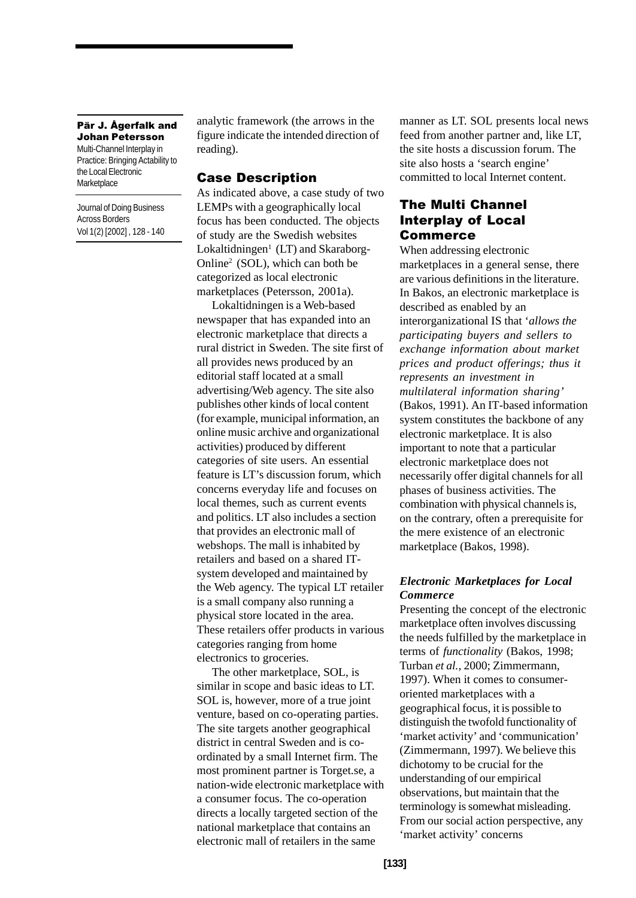Multi-Channel Interplay in Practice: Bringing Actability to the Local Electronic **Marketplace** 

Journal of Doing Business Across Borders Vol 1(2) [2002] , 128 - 140 analytic framework (the arrows in the figure indicate the intended direction of reading).

## **Case Description**

As indicated above, a case study of two LEMPs with a geographically local focus has been conducted. The objects of study are the Swedish websites Lokaltidningen<sup>1</sup> (LT) and Skaraborg-Online2 (SOL), which can both be categorized as local electronic marketplaces (Petersson, 2001a).

Lokaltidningen is a Web-based newspaper that has expanded into an electronic marketplace that directs a rural district in Sweden. The site first of all provides news produced by an editorial staff located at a small advertising/Web agency. The site also publishes other kinds of local content (for example, municipal information, an online music archive and organizational activities) produced by different categories of site users. An essential feature is LT's discussion forum, which concerns everyday life and focuses on local themes, such as current events and politics. LT also includes a section that provides an electronic mall of webshops. The mall is inhabited by retailers and based on a shared ITsystem developed and maintained by the Web agency. The typical LT retailer is a small company also running a physical store located in the area. These retailers offer products in various categories ranging from home electronics to groceries.

The other marketplace, SOL, is similar in scope and basic ideas to LT. SOL is, however, more of a true joint venture, based on co-operating parties. The site targets another geographical district in central Sweden and is coordinated by a small Internet firm. The most prominent partner is Torget.se, a nation-wide electronic marketplace with a consumer focus. The co-operation directs a locally targeted section of the national marketplace that contains an electronic mall of retailers in the same

manner as LT. SOL presents local news feed from another partner and, like LT, the site hosts a discussion forum. The site also hosts a 'search engine' committed to local Internet content.

# **The Multi Channel Interplay of Local Commerce**

When addressing electronic marketplaces in a general sense, there are various definitions in the literature. In Bakos, an electronic marketplace is described as enabled by an interorganizational IS that '*allows the participating buyers and sellers to exchange information about market prices and product offerings; thus it represents an investment in multilateral information sharing'* (Bakos, 1991). An IT-based information system constitutes the backbone of any electronic marketplace. It is also important to note that a particular electronic marketplace does not necessarily offer digital channels for all phases of business activities. The combination with physical channels is, on the contrary, often a prerequisite for the mere existence of an electronic marketplace (Bakos, 1998).

## *Electronic Marketplaces for Local Commerce*

Presenting the concept of the electronic marketplace often involves discussing the needs fulfilled by the marketplace in terms of *functionality* (Bakos, 1998; Turban *et al.*, 2000; Zimmermann, 1997). When it comes to consumeroriented marketplaces with a geographical focus, it is possible to distinguish the twofold functionality of 'market activity' and 'communication' (Zimmermann, 1997). We believe this dichotomy to be crucial for the understanding of our empirical observations, but maintain that the terminology is somewhat misleading. From our social action perspective, any 'market activity' concerns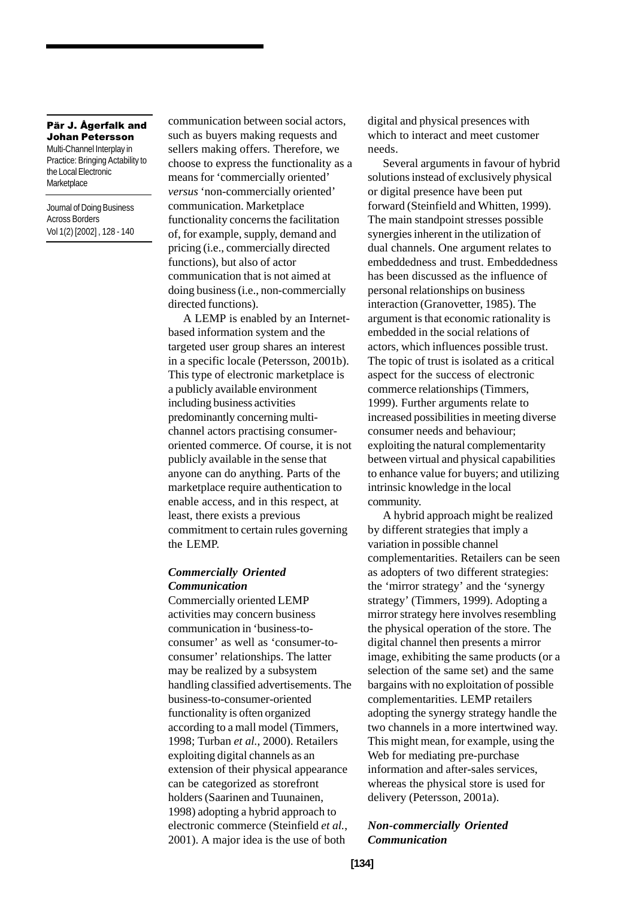Multi-Channel Interplay in Practice: Bringing Actability to the Local Electronic **Marketplace** 

Journal of Doing Business Across Borders Vol 1(2) [2002] , 128 - 140 communication between social actors, such as buyers making requests and sellers making offers. Therefore, we choose to express the functionality as a means for 'commercially oriented' *versus* 'non-commercially oriented' communication. Marketplace functionality concerns the facilitation of, for example, supply, demand and pricing (i.e., commercially directed functions), but also of actor communication that is not aimed at doing business (i.e., non-commercially directed functions).

A LEMP is enabled by an Internetbased information system and the targeted user group shares an interest in a specific locale (Petersson, 2001b). This type of electronic marketplace is a publicly available environment including business activities predominantly concerning multichannel actors practising consumeroriented commerce. Of course, it is not publicly available in the sense that anyone can do anything. Parts of the marketplace require authentication to enable access, and in this respect, at least, there exists a previous commitment to certain rules governing the LEMP.

#### *Commercially Oriented Communication*

Commercially oriented LEMP activities may concern business communication in 'business-toconsumer' as well as 'consumer-toconsumer' relationships. The latter may be realized by a subsystem handling classified advertisements. The business-to-consumer-oriented functionality is often organized according to a mall model (Timmers, 1998; Turban *et al.*, 2000). Retailers exploiting digital channels as an extension of their physical appearance can be categorized as storefront holders (Saarinen and Tuunainen, 1998) adopting a hybrid approach to electronic commerce (Steinfield *et al.*, 2001). A major idea is the use of both

digital and physical presences with which to interact and meet customer needs.

Several arguments in favour of hybrid solutions instead of exclusively physical or digital presence have been put forward (Steinfield and Whitten, 1999). The main standpoint stresses possible synergies inherent in the utilization of dual channels. One argument relates to embeddedness and trust. Embeddedness has been discussed as the influence of personal relationships on business interaction (Granovetter, 1985). The argument is that economic rationality is embedded in the social relations of actors, which influences possible trust. The topic of trust is isolated as a critical aspect for the success of electronic commerce relationships (Timmers, 1999). Further arguments relate to increased possibilities in meeting diverse consumer needs and behaviour; exploiting the natural complementarity between virtual and physical capabilities to enhance value for buyers; and utilizing intrinsic knowledge in the local community.

A hybrid approach might be realized by different strategies that imply a variation in possible channel complementarities. Retailers can be seen as adopters of two different strategies: the 'mirror strategy' and the 'synergy strategy' (Timmers, 1999). Adopting a mirror strategy here involves resembling the physical operation of the store. The digital channel then presents a mirror image, exhibiting the same products (or a selection of the same set) and the same bargains with no exploitation of possible complementarities. LEMP retailers adopting the synergy strategy handle the two channels in a more intertwined way. This might mean, for example, using the Web for mediating pre-purchase information and after-sales services, whereas the physical store is used for delivery (Petersson, 2001a).

#### *Non-commercially Oriented Communication*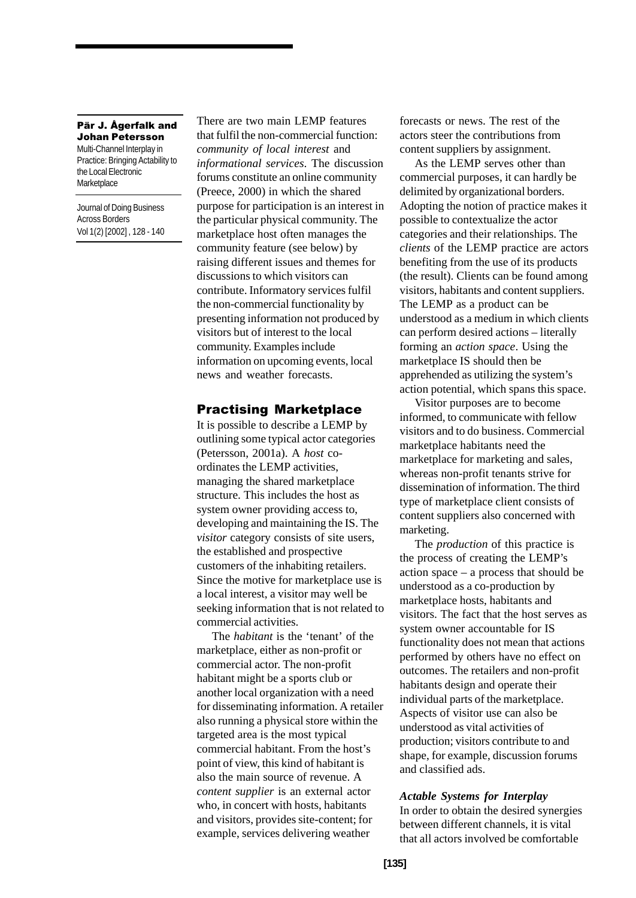#### Pär J. Ågerfalk and Johan Petersson Multi-Channel Interplay in

Practice: Bringing Actability to the Local Electronic **Marketplace** 

Journal of Doing Business Across Borders Vol 1(2) [2002] , 128 - 140 There are two main LEMP features that fulfil the non-commercial function: *community of local interest* and *informational services*. The discussion forums constitute an online community (Preece, 2000) in which the shared purpose for participation is an interest in the particular physical community. The marketplace host often manages the community feature (see below) by raising different issues and themes for discussions to which visitors can contribute. Informatory services fulfil the non-commercial functionality by presenting information not produced by visitors but of interest to the local community. Examples include information on upcoming events, local news and weather forecasts.

# **Practising Marketplace**

It is possible to describe a LEMP by outlining some typical actor categories (Petersson, 2001a). A *host* coordinates the LEMP activities, managing the shared marketplace structure. This includes the host as system owner providing access to, developing and maintaining the IS. The *visitor* category consists of site users, the established and prospective customers of the inhabiting retailers. Since the motive for marketplace use is a local interest, a visitor may well be seeking information that is not related to commercial activities.

The *habitant* is the 'tenant' of the marketplace, either as non-profit or commercial actor. The non-profit habitant might be a sports club or another local organization with a need for disseminating information. A retailer also running a physical store within the targeted area is the most typical commercial habitant. From the host's point of view, this kind of habitant is also the main source of revenue. A *content supplier* is an external actor who, in concert with hosts, habitants and visitors, provides site-content; for example, services delivering weather

forecasts or news. The rest of the actors steer the contributions from content suppliers by assignment.

As the LEMP serves other than commercial purposes, it can hardly be delimited by organizational borders. Adopting the notion of practice makes it possible to contextualize the actor categories and their relationships. The *clients* of the LEMP practice are actors benefiting from the use of its products (the result). Clients can be found among visitors, habitants and content suppliers. The LEMP as a product can be understood as a medium in which clients can perform desired actions – literally forming an *action space*. Using the marketplace IS should then be apprehended as utilizing the system's action potential, which spans this space.

Visitor purposes are to become informed, to communicate with fellow visitors and to do business. Commercial marketplace habitants need the marketplace for marketing and sales, whereas non-profit tenants strive for dissemination of information. The third type of marketplace client consists of content suppliers also concerned with marketing.

The *production* of this practice is the process of creating the LEMP's action space – a process that should be understood as a co-production by marketplace hosts, habitants and visitors. The fact that the host serves as system owner accountable for IS functionality does not mean that actions performed by others have no effect on outcomes. The retailers and non-profit habitants design and operate their individual parts of the marketplace. Aspects of visitor use can also be understood as vital activities of production; visitors contribute to and shape, for example, discussion forums and classified ads.

#### *Actable Systems for Interplay*

In order to obtain the desired synergies between different channels, it is vital that all actors involved be comfortable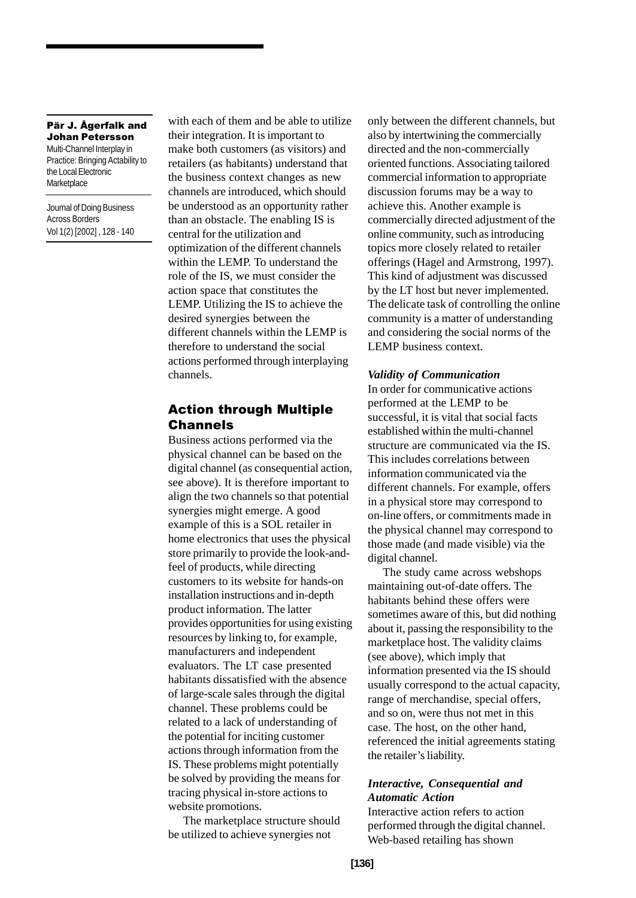Multi-Channel Interplay in Practice: Bringing Actability to the Local Electronic **Marketplace** 

Journal of Doing Business Across Borders Vol 1(2) [2002] , 128 - 140

with each of them and be able to utilize their integration. It is important to make both customers (as visitors) and retailers (as habitants) understand that the business context changes as new channels are introduced, which should be understood as an opportunity rather than an obstacle. The enabling IS is central for the utilization and optimization of the different channels within the LEMP. To understand the role of the IS, we must consider the action space that constitutes the LEMP. Utilizing the IS to achieve the desired synergies between the different channels within the LEMP is therefore to understand the social actions performed through interplaying channels.

# **Action through Multiple Channels**

Business actions performed via the physical channel can be based on the digital channel (as consequential action, see above). It is therefore important to align the two channels so that potential synergies might emerge. A good example of this is a SOL retailer in home electronics that uses the physical store primarily to provide the look-andfeel of products, while directing customers to its website for hands-on installation instructions and in-depth product information. The latter provides opportunities for using existing resources by linking to, for example, manufacturers and independent evaluators. The LT case presented habitants dissatisfied with the absence of large-scale sales through the digital channel. These problems could be related to a lack of understanding of the potential for inciting customer actions through information from the IS. These problems might potentially be solved by providing the means for tracing physical in-store actions to website promotions.

The marketplace structure should be utilized to achieve synergies not

only between the different channels, but also by intertwining the commercially directed and the non-commercially oriented functions. Associating tailored commercial information to appropriate discussion forums may be a way to achieve this. Another example is commercially directed adjustment of the online community, such as introducing topics more closely related to retailer offerings (Hagel and Armstrong, 1997). This kind of adjustment was discussed by the LT host but never implemented. The delicate task of controlling the online community is a matter of understanding and considering the social norms of the LEMP business context.

#### *Validity of Communication*

In order for communicative actions performed at the LEMP to be successful, it is vital that social facts established within the multi-channel structure are communicated via the IS. This includes correlations between information communicated via the different channels. For example, offers in a physical store may correspond to on-line offers, or commitments made in the physical channel may correspond to those made (and made visible) via the digital channel.

The study came across webshops maintaining out-of-date offers. The habitants behind these offers were sometimes aware of this, but did nothing about it, passing the responsibility to the marketplace host. The validity claims (see above), which imply that information presented via the IS should usually correspond to the actual capacity, range of merchandise, special offers, and so on, were thus not met in this case. The host, on the other hand, referenced the initial agreements stating the retailer's liability.

## *Interactive, Consequential and Automatic Action*

Interactive action refers to action performed through the digital channel. Web-based retailing has shown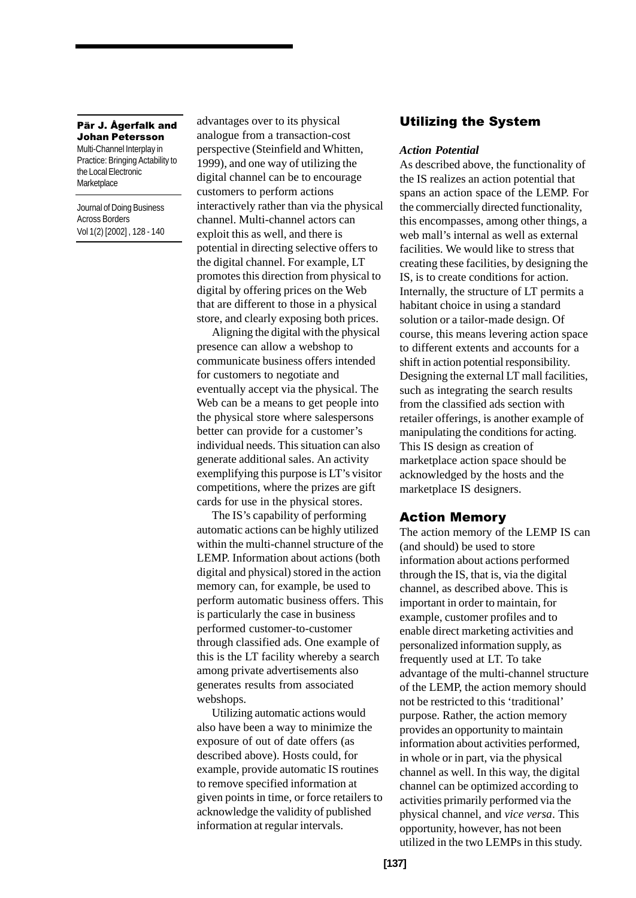#### Pär J. Ågerfalk and Johan Petersson Multi-Channel Interplay in

Practice: Bringing Actability to the Local Electronic **Marketplace** 

Journal of Doing Business Across Borders Vol 1(2) [2002] , 128 - 140

advantages over to its physical analogue from a transaction-cost perspective (Steinfield and Whitten, 1999), and one way of utilizing the digital channel can be to encourage customers to perform actions interactively rather than via the physical channel. Multi-channel actors can exploit this as well, and there is potential in directing selective offers to the digital channel. For example, LT promotes this direction from physical to digital by offering prices on the Web that are different to those in a physical store, and clearly exposing both prices.

Aligning the digital with the physical presence can allow a webshop to communicate business offers intended for customers to negotiate and eventually accept via the physical. The Web can be a means to get people into the physical store where salespersons better can provide for a customer's individual needs. This situation can also generate additional sales. An activity exemplifying this purpose is LT's visitor competitions, where the prizes are gift cards for use in the physical stores.

The IS's capability of performing automatic actions can be highly utilized within the multi-channel structure of the LEMP. Information about actions (both digital and physical) stored in the action memory can, for example, be used to perform automatic business offers. This is particularly the case in business performed customer-to-customer through classified ads. One example of this is the LT facility whereby a search among private advertisements also generates results from associated webshops.

Utilizing automatic actions would also have been a way to minimize the exposure of out of date offers (as described above). Hosts could, for example, provide automatic IS routines to remove specified information at given points in time, or force retailers to acknowledge the validity of published information at regular intervals.

# **Utilizing the System**

#### *Action Potential*

As described above, the functionality of the IS realizes an action potential that spans an action space of the LEMP. For the commercially directed functionality, this encompasses, among other things, a web mall's internal as well as external facilities. We would like to stress that creating these facilities, by designing the IS, is to create conditions for action. Internally, the structure of LT permits a habitant choice in using a standard solution or a tailor-made design. Of course, this means levering action space to different extents and accounts for a shift in action potential responsibility. Designing the external LT mall facilities, such as integrating the search results from the classified ads section with retailer offerings, is another example of manipulating the conditions for acting. This IS design as creation of marketplace action space should be acknowledged by the hosts and the marketplace IS designers.

#### **Action Memory**

The action memory of the LEMP IS can (and should) be used to store information about actions performed through the IS, that is, via the digital channel, as described above. This is important in order to maintain, for example, customer profiles and to enable direct marketing activities and personalized information supply, as frequently used at LT. To take advantage of the multi-channel structure of the LEMP, the action memory should not be restricted to this 'traditional' purpose. Rather, the action memory provides an opportunity to maintain information about activities performed, in whole or in part, via the physical channel as well. In this way, the digital channel can be optimized according to activities primarily performed via the physical channel, and *vice versa*. This opportunity, however, has not been utilized in the two LEMPs in this study.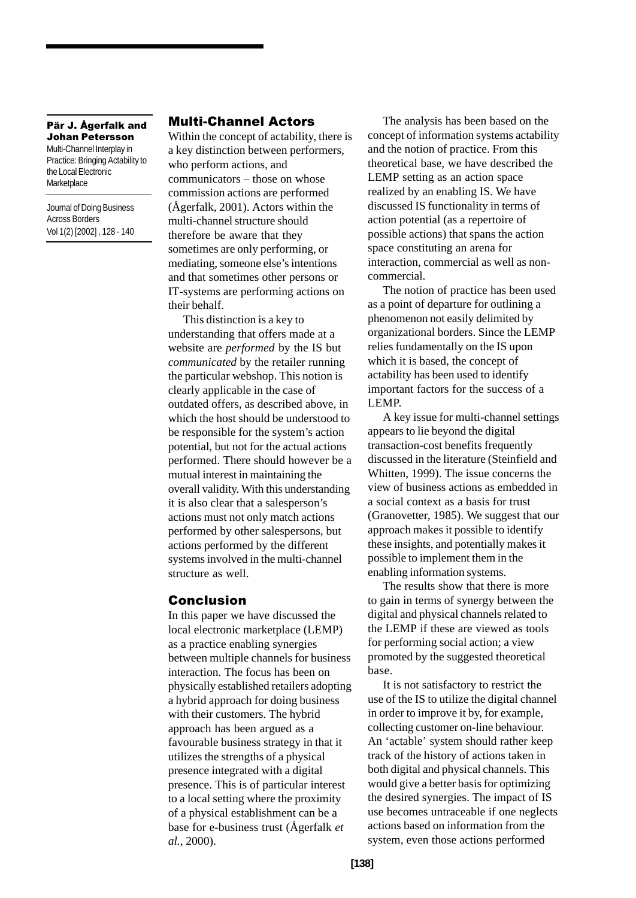Multi-Channel Interplay in Practice: Bringing Actability to the Local Electronic **Marketplace** 

Journal of Doing Business Across Borders Vol 1(2) [2002] , 128 - 140

# **Multi-Channel Actors**

Within the concept of actability, there is a key distinction between performers, who perform actions, and communicators – those on whose commission actions are performed (Ågerfalk, 2001). Actors within the multi-channel structure should therefore be aware that they sometimes are only performing, or mediating, someone else's intentions and that sometimes other persons or IT-systems are performing actions on their behalf.

This distinction is a key to understanding that offers made at a website are *performed* by the IS but *communicated* by the retailer running the particular webshop. This notion is clearly applicable in the case of outdated offers, as described above, in which the host should be understood to be responsible for the system's action potential, but not for the actual actions performed. There should however be a mutual interest in maintaining the overall validity. With this understanding it is also clear that a salesperson's actions must not only match actions performed by other salespersons, but actions performed by the different systems involved in the multi-channel structure as well.

# **Conclusion**

In this paper we have discussed the local electronic marketplace (LEMP) as a practice enabling synergies between multiple channels for business interaction. The focus has been on physically established retailers adopting a hybrid approach for doing business with their customers. The hybrid approach has been argued as a favourable business strategy in that it utilizes the strengths of a physical presence integrated with a digital presence. This is of particular interest to a local setting where the proximity of a physical establishment can be a base for e-business trust (Ågerfalk *et al.*, 2000).

The analysis has been based on the concept of information systems actability and the notion of practice. From this theoretical base, we have described the LEMP setting as an action space realized by an enabling IS. We have discussed IS functionality in terms of action potential (as a repertoire of possible actions) that spans the action space constituting an arena for interaction, commercial as well as noncommercial.

The notion of practice has been used as a point of departure for outlining a phenomenon not easily delimited by organizational borders. Since the LEMP relies fundamentally on the IS upon which it is based, the concept of actability has been used to identify important factors for the success of a LEMP.

A key issue for multi-channel settings appears to lie beyond the digital transaction-cost benefits frequently discussed in the literature (Steinfield and Whitten, 1999). The issue concerns the view of business actions as embedded in a social context as a basis for trust (Granovetter, 1985). We suggest that our approach makes it possible to identify these insights, and potentially makes it possible to implement them in the enabling information systems.

The results show that there is more to gain in terms of synergy between the digital and physical channels related to the LEMP if these are viewed as tools for performing social action; a view promoted by the suggested theoretical base.

It is not satisfactory to restrict the use of the IS to utilize the digital channel in order to improve it by, for example, collecting customer on-line behaviour. An 'actable' system should rather keep track of the history of actions taken in both digital and physical channels. This would give a better basis for optimizing the desired synergies. The impact of IS use becomes untraceable if one neglects actions based on information from the system, even those actions performed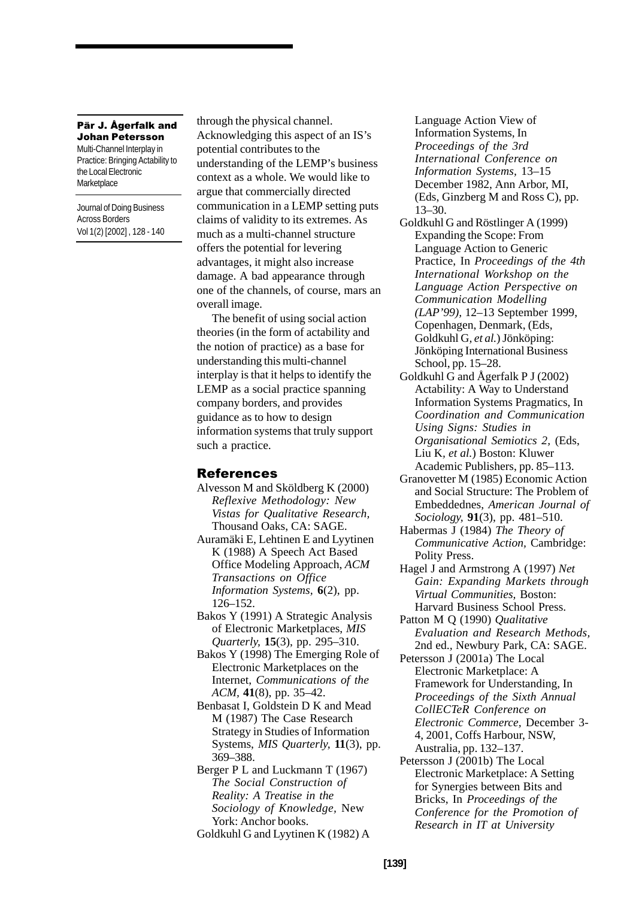Multi-Channel Interplay in Practice: Bringing Actability to the Local Electronic **Marketplace** 

Journal of Doing Business Across Borders Vol 1(2) [2002] , 128 - 140 through the physical channel. Acknowledging this aspect of an IS's potential contributes to the understanding of the LEMP's business context as a whole. We would like to argue that commercially directed communication in a LEMP setting puts claims of validity to its extremes. As much as a multi-channel structure offers the potential for levering advantages, it might also increase damage. A bad appearance through one of the channels, of course, mars an overall image.

The benefit of using social action theories (in the form of actability and the notion of practice) as a base for understanding this multi-channel interplay is that it helps to identify the LEMP as a social practice spanning company borders, and provides guidance as to how to design information systems that truly support such a practice.

## **References**

- Alvesson M and Sköldberg K (2000) *Reflexive Methodology: New Vistas for Qualitative Research,* Thousand Oaks, CA: SAGE.
- Auramäki E, Lehtinen E and Lyytinen K (1988) A Speech Act Based Office Modeling Approach, *ACM Transactions on Office Information Systems,* **6**(2), pp. 126–152.
- Bakos Y (1991) A Strategic Analysis of Electronic Marketplaces, *MIS Quarterly,* **15**(3), pp. 295–310.
- Bakos Y (1998) The Emerging Role of Electronic Marketplaces on the Internet, *Communications of the ACM,* **41**(8), pp. 35–42.
- Benbasat I, Goldstein D K and Mead M (1987) The Case Research Strategy in Studies of Information Systems, *MIS Quarterly,* **11**(3), pp. 369–388.
- Berger P L and Luckmann T (1967) *The Social Construction of Reality: A Treatise in the Sociology of Knowledge,* New York: Anchor books. Goldkuhl G and Lyytinen K (1982) A

Language Action View of Information Systems, In *Proceedings of the 3rd International Conference on Information Systems,* 13–15 December 1982, Ann Arbor, MI, (Eds, Ginzberg M and Ross C), pp. 13–30.

- Goldkuhl G and Röstlinger A (1999) Expanding the Scope: From Language Action to Generic Practice, In *Proceedings of the 4th International Workshop on the Language Action Perspective on Communication Modelling (LAP'99),* 12–13 September 1999, Copenhagen, Denmark, (Eds, Goldkuhl G*, et al.*) Jönköping: Jönköping International Business School, pp. 15–28.
- Goldkuhl G and Ågerfalk P J (2002) Actability: A Way to Understand Information Systems Pragmatics, In *Coordination and Communication Using Signs: Studies in Organisational Semiotics 2,* (Eds, Liu K*, et al.*) Boston: Kluwer Academic Publishers, pp. 85–113.
- Granovetter M (1985) Economic Action and Social Structure: The Problem of Embeddednes, *American Journal of Sociology,* **91**(3), pp. 481–510.
- Habermas J (1984) *The Theory of Communicative Action,* Cambridge: Polity Press.
- Hagel J and Armstrong A (1997) *Net Gain: Expanding Markets through Virtual Communities,* Boston: Harvard Business School Press.
- Patton M Q (1990) *Qualitative Evaluation and Research Methods,* 2nd ed.*,* Newbury Park, CA: SAGE.
- Petersson J (2001a) The Local Electronic Marketplace: A Framework for Understanding, In *Proceedings of the Sixth Annual CollECTeR Conference on Electronic Commerce,* December 3- 4, 2001, Coffs Harbour, NSW, Australia, pp. 132–137.
- Petersson J (2001b) The Local Electronic Marketplace: A Setting for Synergies between Bits and Bricks, In *Proceedings of the Conference for the Promotion of Research in IT at University*